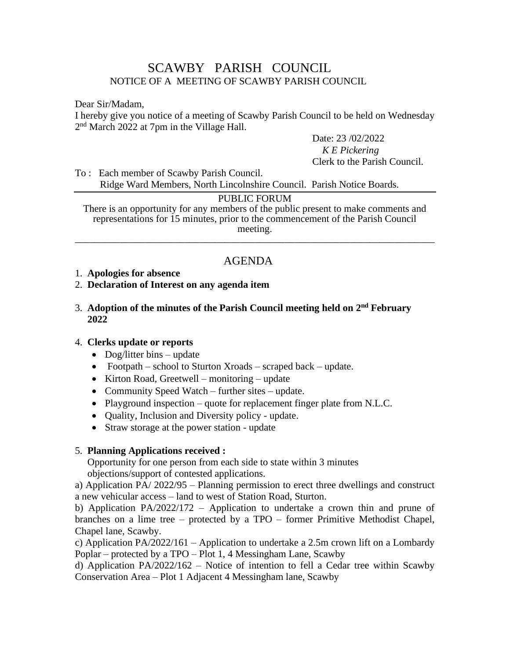# SCAWBY PARISH COUNCIL NOTICE OF A MEETING OF SCAWBY PARISH COUNCIL

Dear Sir/Madam,

I hereby give you notice of a meeting of Scawby Parish Council to be held on Wednesday 2<sup>nd</sup> March 2022 at 7pm in the Village Hall.

Date: 23 /02/2022

 *K E Pickering* Clerk to the Parish Council.

To : Each member of Scawby Parish Council. Ridge Ward Members, North Lincolnshire Council. Parish Notice Boards.

#### PUBLIC FORUM

There is an opportunity for any members of the public present to make comments and representations for 15 minutes, prior to the commencement of the Parish Council meeting. \_\_\_\_\_\_\_\_\_\_\_\_\_\_\_\_\_\_\_\_\_\_\_\_\_\_\_\_\_\_\_\_\_\_\_\_\_\_\_\_\_\_\_\_\_\_\_\_\_\_\_\_\_\_\_\_\_\_\_\_\_\_\_\_\_\_\_\_\_\_\_\_

# AGENDA

#### 1. **Apologies for absence**

#### 2. **Declaration of Interest on any agenda item**

#### 3. Adoption of the minutes of the Parish Council meeting held on 2<sup>nd</sup> February  **2022**

#### 4. **Clerks update or reports**

- Dog/litter bins update
- Footpath school to Sturton Xroads scraped back update.
- Kirton Road, Greetwell monitoring update
- Community Speed Watch further sites update.
- Playground inspection quote for replacement finger plate from N.L.C.
- Quality, Inclusion and Diversity policy update.
- Straw storage at the power station update

### 5. **Planning Applications received :**

Opportunity for one person from each side to state within 3 minutes objections/support of contested applications.

a) Application PA/ 2022/95 – Planning permission to erect three dwellings and construct a new vehicular access – land to west of Station Road, Sturton.

b) Application PA/2022/172 – Application to undertake a crown thin and prune of branches on a lime tree – protected by a TPO – former Primitive Methodist Chapel, Chapel lane, Scawby.

c) Application PA/2022/161 – Application to undertake a 2.5m crown lift on a Lombardy Poplar – protected by a TPO – Plot 1, 4 Messingham Lane, Scawby

d) Application PA/2022/162 – Notice of intention to fell a Cedar tree within Scawby Conservation Area – Plot 1 Adjacent 4 Messingham lane, Scawby